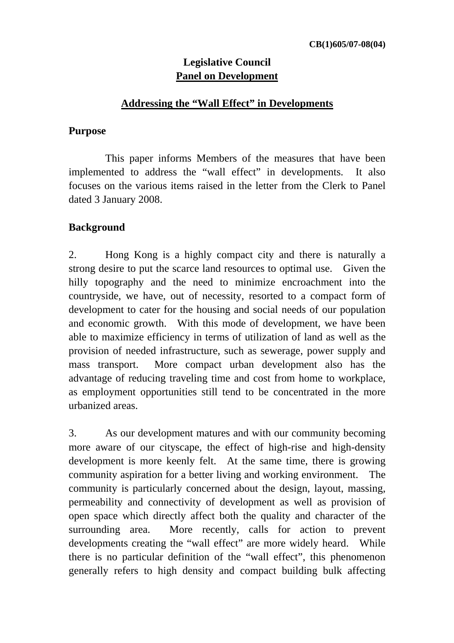### **Legislative Council Panel on Development**

#### **Addressing the "Wall Effect" in Developments**

#### **Purpose**

 This paper informs Members of the measures that have been implemented to address the "wall effect" in developments. It also focuses on the various items raised in the letter from the Clerk to Panel dated 3 January 2008.

### **Background**

2. Hong Kong is a highly compact city and there is naturally a strong desire to put the scarce land resources to optimal use. Given the hilly topography and the need to minimize encroachment into the countryside, we have, out of necessity, resorted to a compact form of development to cater for the housing and social needs of our population and economic growth. With this mode of development, we have been able to maximize efficiency in terms of utilization of land as well as the provision of needed infrastructure, such as sewerage, power supply and mass transport. More compact urban development also has the advantage of reducing traveling time and cost from home to workplace, as employment opportunities still tend to be concentrated in the more urbanized areas.

3. As our development matures and with our community becoming more aware of our cityscape, the effect of high-rise and high-density development is more keenly felt. At the same time, there is growing community aspiration for a better living and working environment. The community is particularly concerned about the design, layout, massing, permeability and connectivity of development as well as provision of open space which directly affect both the quality and character of the surrounding area. More recently, calls for action to prevent developments creating the "wall effect" are more widely heard. While there is no particular definition of the "wall effect", this phenomenon generally refers to high density and compact building bulk affecting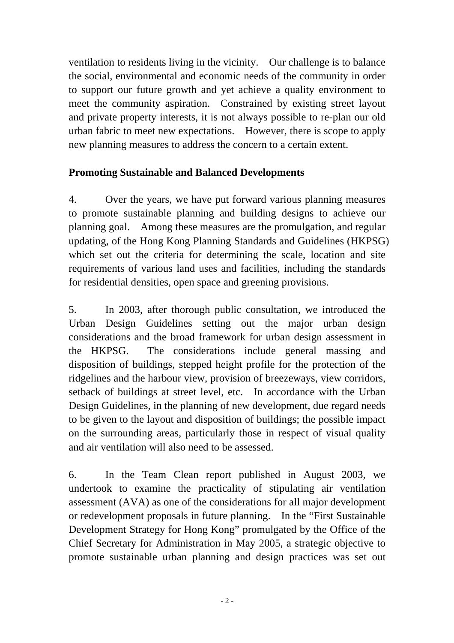ventilation to residents living in the vicinity. Our challenge is to balance the social, environmental and economic needs of the community in order to support our future growth and yet achieve a quality environment to meet the community aspiration. Constrained by existing street layout and private property interests, it is not always possible to re-plan our old urban fabric to meet new expectations. However, there is scope to apply new planning measures to address the concern to a certain extent.

### **Promoting Sustainable and Balanced Developments**

4. Over the years, we have put forward various planning measures to promote sustainable planning and building designs to achieve our planning goal. Among these measures are the promulgation, and regular updating, of the Hong Kong Planning Standards and Guidelines (HKPSG) which set out the criteria for determining the scale, location and site requirements of various land uses and facilities, including the standards for residential densities, open space and greening provisions.

5. In 2003, after thorough public consultation, we introduced the Urban Design Guidelines setting out the major urban design considerations and the broad framework for urban design assessment in the HKPSG. The considerations include general massing and disposition of buildings, stepped height profile for the protection of the ridgelines and the harbour view, provision of breezeways, view corridors, setback of buildings at street level, etc. In accordance with the Urban Design Guidelines, in the planning of new development, due regard needs to be given to the layout and disposition of buildings; the possible impact on the surrounding areas, particularly those in respect of visual quality and air ventilation will also need to be assessed.

6. In the Team Clean report published in August 2003, we undertook to examine the practicality of stipulating air ventilation assessment (AVA) as one of the considerations for all major development or redevelopment proposals in future planning. In the "First Sustainable Development Strategy for Hong Kong" promulgated by the Office of the Chief Secretary for Administration in May 2005, a strategic objective to promote sustainable urban planning and design practices was set out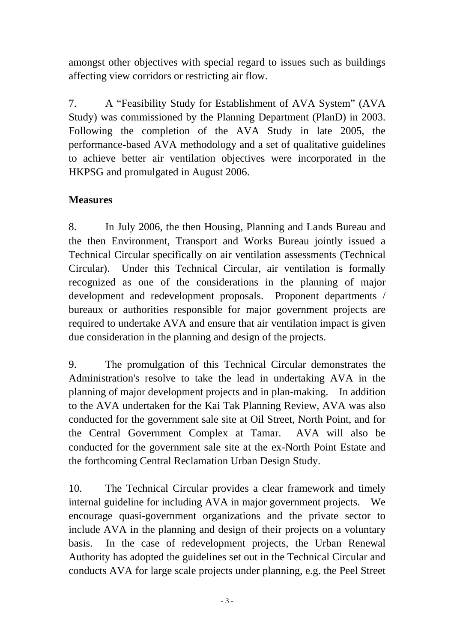amongst other objectives with special regard to issues such as buildings affecting view corridors or restricting air flow.

7. A "Feasibility Study for Establishment of AVA System" (AVA Study) was commissioned by the Planning Department (PlanD) in 2003. Following the completion of the AVA Study in late 2005, the performance-based AVA methodology and a set of qualitative guidelines to achieve better air ventilation objectives were incorporated in the HKPSG and promulgated in August 2006.

## **Measures**

8. In July 2006, the then Housing, Planning and Lands Bureau and the then Environment, Transport and Works Bureau jointly issued a Technical Circular specifically on air ventilation assessments (Technical Circular). Under this Technical Circular, air ventilation is formally recognized as one of the considerations in the planning of major development and redevelopment proposals. Proponent departments / bureaux or authorities responsible for major government projects are required to undertake AVA and ensure that air ventilation impact is given due consideration in the planning and design of the projects.

9. The promulgation of this Technical Circular demonstrates the Administration's resolve to take the lead in undertaking AVA in the planning of major development projects and in plan-making. In addition to the AVA undertaken for the Kai Tak Planning Review, AVA was also conducted for the government sale site at Oil Street, North Point, and for the Central Government Complex at Tamar. AVA will also be conducted for the government sale site at the ex-North Point Estate and the forthcoming Central Reclamation Urban Design Study.

10. The Technical Circular provides a clear framework and timely internal guideline for including AVA in major government projects. We encourage quasi-government organizations and the private sector to include AVA in the planning and design of their projects on a voluntary basis. In the case of redevelopment projects, the Urban Renewal Authority has adopted the guidelines set out in the Technical Circular and conducts AVA for large scale projects under planning, e.g. the Peel Street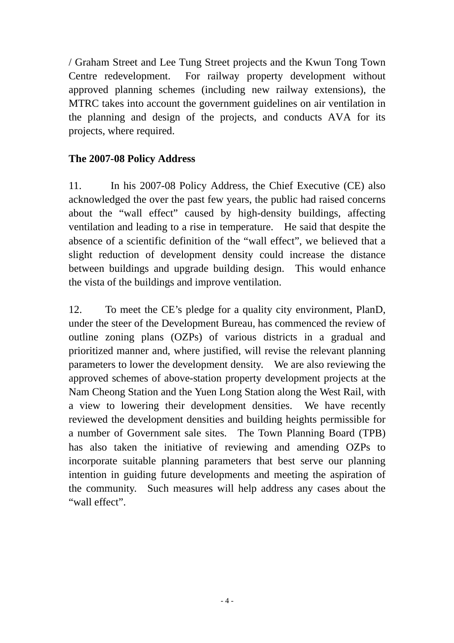/ Graham Street and Lee Tung Street projects and the Kwun Tong Town Centre redevelopment. For railway property development without approved planning schemes (including new railway extensions), the MTRC takes into account the government guidelines on air ventilation in the planning and design of the projects, and conducts AVA for its projects, where required.

#### **The 2007-08 Policy Address**

11. In his 2007-08 Policy Address, the Chief Executive (CE) also acknowledged the over the past few years, the public had raised concerns about the "wall effect" caused by high-density buildings, affecting ventilation and leading to a rise in temperature. He said that despite the absence of a scientific definition of the "wall effect", we believed that a slight reduction of development density could increase the distance between buildings and upgrade building design. This would enhance the vista of the buildings and improve ventilation.

12. To meet the CE's pledge for a quality city environment, PlanD, under the steer of the Development Bureau, has commenced the review of outline zoning plans (OZPs) of various districts in a gradual and prioritized manner and, where justified, will revise the relevant planning parameters to lower the development density. We are also reviewing the approved schemes of above-station property development projects at the Nam Cheong Station and the Yuen Long Station along the West Rail, with a view to lowering their development densities. We have recently reviewed the development densities and building heights permissible for a number of Government sale sites. The Town Planning Board (TPB) has also taken the initiative of reviewing and amending OZPs to incorporate suitable planning parameters that best serve our planning intention in guiding future developments and meeting the aspiration of the community. Such measures will help address any cases about the "wall effect".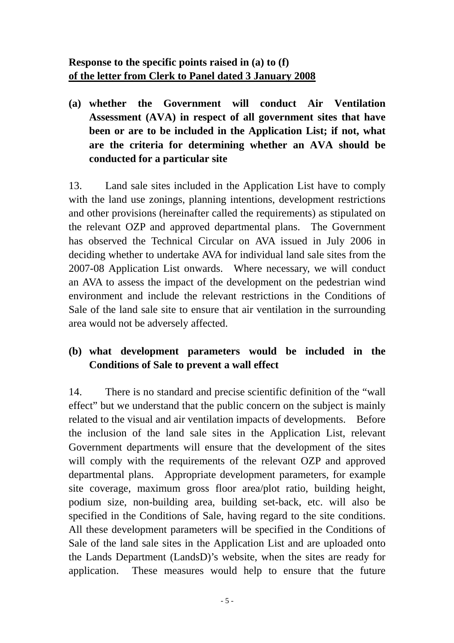**(a) whether the Government will conduct Air Ventilation Assessment (AVA) in respect of all government sites that have been or are to be included in the Application List; if not, what are the criteria for determining whether an AVA should be conducted for a particular site** 

13. Land sale sites included in the Application List have to comply with the land use zonings, planning intentions, development restrictions and other provisions (hereinafter called the requirements) as stipulated on the relevant OZP and approved departmental plans. The Government has observed the Technical Circular on AVA issued in July 2006 in deciding whether to undertake AVA for individual land sale sites from the 2007-08 Application List onwards. Where necessary, we will conduct an AVA to assess the impact of the development on the pedestrian wind environment and include the relevant restrictions in the Conditions of Sale of the land sale site to ensure that air ventilation in the surrounding area would not be adversely affected.

## **(b) what development parameters would be included in the Conditions of Sale to prevent a wall effect**

14. There is no standard and precise scientific definition of the "wall effect" but we understand that the public concern on the subject is mainly related to the visual and air ventilation impacts of developments. Before the inclusion of the land sale sites in the Application List, relevant Government departments will ensure that the development of the sites will comply with the requirements of the relevant OZP and approved departmental plans. Appropriate development parameters, for example site coverage, maximum gross floor area/plot ratio, building height, podium size, non-building area, building set-back, etc. will also be specified in the Conditions of Sale, having regard to the site conditions. All these development parameters will be specified in the Conditions of Sale of the land sale sites in the Application List and are uploaded onto the Lands Department (LandsD)'s website, when the sites are ready for application. These measures would help to ensure that the future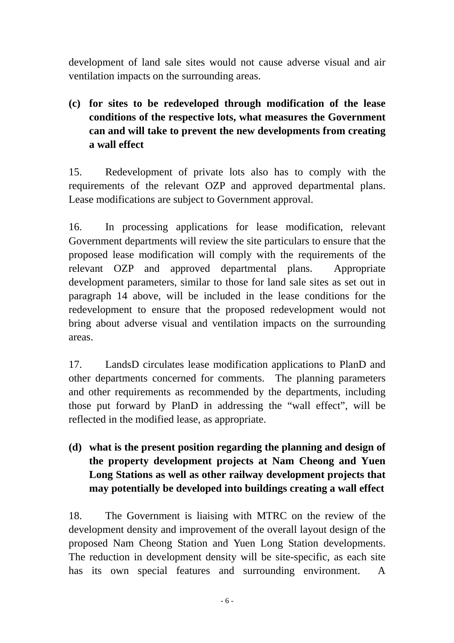development of land sale sites would not cause adverse visual and air ventilation impacts on the surrounding areas.

# **(c) for sites to be redeveloped through modification of the lease conditions of the respective lots, what measures the Government can and will take to prevent the new developments from creating a wall effect**

15. Redevelopment of private lots also has to comply with the requirements of the relevant OZP and approved departmental plans. Lease modifications are subject to Government approval.

16. In processing applications for lease modification, relevant Government departments will review the site particulars to ensure that the proposed lease modification will comply with the requirements of the relevant OZP and approved departmental plans. Appropriate development parameters, similar to those for land sale sites as set out in paragraph 14 above, will be included in the lease conditions for the redevelopment to ensure that the proposed redevelopment would not bring about adverse visual and ventilation impacts on the surrounding areas.

17. LandsD circulates lease modification applications to PlanD and other departments concerned for comments. The planning parameters and other requirements as recommended by the departments, including those put forward by PlanD in addressing the "wall effect", will be reflected in the modified lease, as appropriate.

# **(d) what is the present position regarding the planning and design of the property development projects at Nam Cheong and Yuen Long Stations as well as other railway development projects that may potentially be developed into buildings creating a wall effect**

18. The Government is liaising with MTRC on the review of the development density and improvement of the overall layout design of the proposed Nam Cheong Station and Yuen Long Station developments. The reduction in development density will be site-specific, as each site has its own special features and surrounding environment. A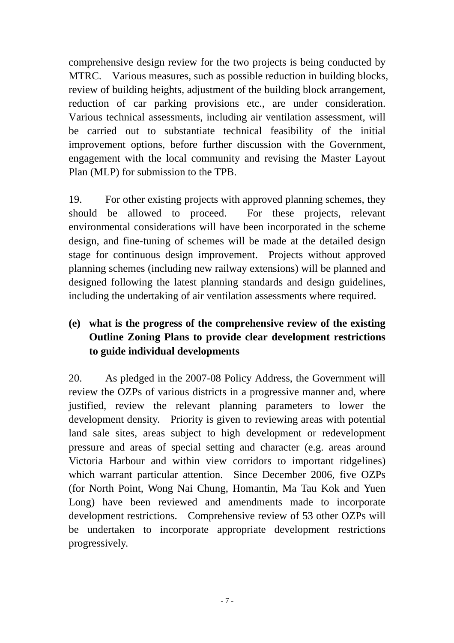comprehensive design review for the two projects is being conducted by MTRC. Various measures, such as possible reduction in building blocks, review of building heights, adjustment of the building block arrangement, reduction of car parking provisions etc., are under consideration. Various technical assessments, including air ventilation assessment, will be carried out to substantiate technical feasibility of the initial improvement options, before further discussion with the Government, engagement with the local community and revising the Master Layout Plan (MLP) for submission to the TPB.

19. For other existing projects with approved planning schemes, they should be allowed to proceed. For these projects, relevant environmental considerations will have been incorporated in the scheme design, and fine-tuning of schemes will be made at the detailed design stage for continuous design improvement. Projects without approved planning schemes (including new railway extensions) will be planned and designed following the latest planning standards and design guidelines, including the undertaking of air ventilation assessments where required.

### **(e) what is the progress of the comprehensive review of the existing Outline Zoning Plans to provide clear development restrictions to guide individual developments**

20. As pledged in the 2007-08 Policy Address, the Government will review the OZPs of various districts in a progressive manner and, where justified, review the relevant planning parameters to lower the development density. Priority is given to reviewing areas with potential land sale sites, areas subject to high development or redevelopment pressure and areas of special setting and character (e.g. areas around Victoria Harbour and within view corridors to important ridgelines) which warrant particular attention. Since December 2006, five OZPs (for North Point, Wong Nai Chung, Homantin, Ma Tau Kok and Yuen Long) have been reviewed and amendments made to incorporate development restrictions. Comprehensive review of 53 other OZPs will be undertaken to incorporate appropriate development restrictions progressively.